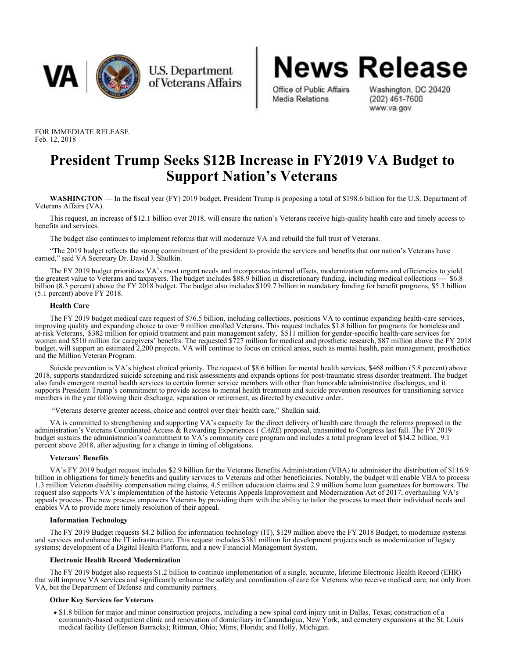

**U.S. Department** of Veterans Affairs **News Release** Office of Public Affairs Washington, DC 20420<br>Media Relations (202) 461-7600

www.va.gov

FOR IMMEDIATE RELEASE Feb. 12, 2018

# **President Trump Seeks \$12B Increase in FY2019 VA Budget to Support Nation's Veterans**

**WASHINGTON** — In the fiscal year (FY) 2019 budget, President Trump is proposing a total of \$198.6 billion for the U.S. Department of Veterans Affairs (VA).

This request, an increase of \$12.1 billion over 2018, will ensure the nation's Veterans receive high-quality health care and timely access to benefits and services.

The budget also continues to implement reforms that will modernize VA and rebuild the full trust of Veterans.

"The 2019 budget reflects the strong commitment of the president to provide the services and benefits that our nation's Veterans have earned," said VA Secretary Dr. David J. Shulkin.

The FY 2019 budget prioritizes VA's most urgent needs and incorporates internal offsets, modernization reforms and efficiencies to yield the greatest value to Veterans and taxpayers. The budget includes \$88.9 billion in discretionary funding, including medical collections — \$6.8 billion (8.3 percent) above the FY 2018 budget. The budget also includes \$109.7 billion in mandatory funding for benefit programs, \$5.3 billion (5.1 percent) above FY 2018.

## **Health Care**

The FY 2019 budget medical care request of \$76.5 billion, including collections, positions VA to continue expanding health-care services, improving quality and expanding choice to over 9 million enrolled Veterans. This request includes \$1.8 billion for programs for homeless and at-risk Veterans, \$382 million for opioid treatment and pain management safety, \$511 million for gender-specific health-care services for women and \$510 million for caregivers' benefits. The requested \$727 million for medical and prosthetic research, \$87 million above the FY 2018 budget, will support an estimated 2,200 projects. VA will continue to focus on critical areas, such as mental health, pain management, prosthetics and the Million Veteran Program.

Suicide prevention is VA's highest clinical priority. The request of \$8.6 billion for mental health services, \$468 million (5.8 percent) above 2018, supports standardized suicide screening and risk assessments and expands options for post-traumatic stress disorder treatment. The budget also funds emergent mental health services to certain former service members with other than honorable administrative discharges, and it supports President Trump's commitment to provide access to mental health treatment and suicide prevention resources for transitioning service members in the year following their discharge, separation or retirement, as directed by executive order.

"Veterans deserve greater access, choice and control over their health care," Shulkin said.

VA is committed to strengthening and supporting VA's capacity for the direct delivery of health care through the reforms proposed in the administration's Veterans Coordinated Access & Rewarding Experiences ( *CARE*) proposal, transmitted to Congress last fall. The FY 2019 budget sustains the administration's commitment to VA's community care program and includes a total program level of \$14.2 billion, 9.1 percent above 2018, after adjusting for a change in timing of obligations.

## **Veterans' Benefits**

VA's FY 2019 budget request includes \$2.9 billion for the Veterans Benefits Administration (VBA) to administer the distribution of \$116.9 billion in obligations for timely benefits and quality services to Veterans and other beneficiaries. Notably, the budget will enable VBA to process 1.3 million Veteran disability compensation rating claims, 4.5 million education claims and 2.9 million home loan guarantees for borrowers. The request also supports VA's implementation of the historic Veterans Appeals Improvement and Modernization Act of 2017, overhauling VA's appeals process. The new process empowers Veterans by providing them with the ability to tailor the process to meet their individual needs and enables VA to provide more timely resolution of their appeal.

## **Information Technology**

The FY 2019 Budget requests \$4.2 billion for information technology (IT), \$129 million above the FY 2018 Budget, to modernize systems and services and enhance the IT infrastructure. This request includes \$381 million for development projects such as modernization of legacy systems; development of a Digital Health Platform, and a new Financial Management System.

## **Electronic Health Record Modernization**

The FY 2019 budget also requests \$1.2 billion to continue implementation of a single, accurate, lifetime Electronic Health Record (EHR) that will improve VA services and significantly enhance the safety and coordination of care for Veterans who receive medical care, not only from VA, but the Department of Defense and community partners.

## **Other Key Services for Veterans**

\$1.8 billion for major and minor construction projects, including a new spinal cord injury unit in Dallas, Texas; construction of a community-based outpatient clinic and renovation of domiciliary in Canandaigua, New York, and cemetery expansions at the St. Louis medical facility (Jefferson Barracks); Rittman, Ohio; Mims, Florida; and Holly, Michigan.